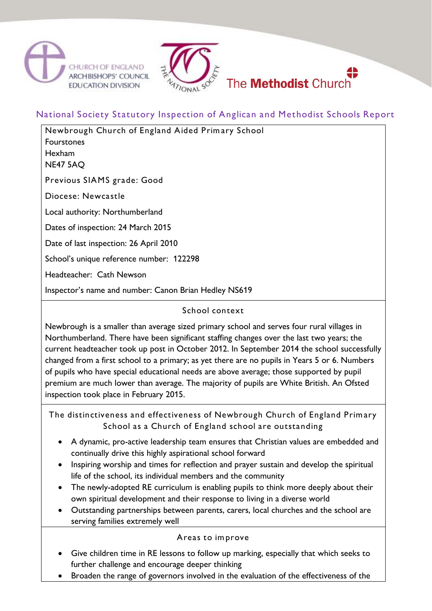



# National Society Statutory Inspection of Anglican and Methodist Schools Report

| Newbrough Church of England Aided Primary School<br>Fourstones<br>Hexham<br>NE47 5AQ |
|--------------------------------------------------------------------------------------|
| Previous SIAMS grade: Good                                                           |
| Diocese: Newcastle                                                                   |
| Local authority: Northumberland                                                      |
| Dates of inspection: 24 March 2015                                                   |
| Date of last inspection: 26 April 2010                                               |
| School's unique reference number: 122298                                             |
| Headteacher: Cath Newson                                                             |
| Inspector's name and number: Canon Brian Hedley NS619                                |

### School context

Newbrough is a smaller than average sized primary school and serves four rural villages in Northumberland. There have been significant staffing changes over the last two years; the current headteacher took up post in October 2012. In September 2014 the school successfully changed from a first school to a primary; as yet there are no pupils in Years 5 or 6. Numbers of pupils who have special educational needs are above average; those supported by pupil premium are much lower than average. The majority of pupils are White British. An Ofsted inspection took place in February 2015.

The distinctiveness and effectiveness of Newbrough Church of England Prim ary School as a Church of England school are outstanding

- A dynamic, pro-active leadership team ensures that Christian values are embedded and continually drive this highly aspirational school forward
- Inspiring worship and times for reflection and prayer sustain and develop the spiritual life of the school, its individual members and the community
- The newly-adopted RE curriculum is enabling pupils to think more deeply about their own spiritual development and their response to living in a diverse world
- Outstanding partnerships between parents, carers, local churches and the school are serving families extremely well

## Areas to im prove

- Give children time in RE lessons to follow up marking, especially that which seeks to further challenge and encourage deeper thinking
- Broaden the range of governors involved in the evaluation of the effectiveness of the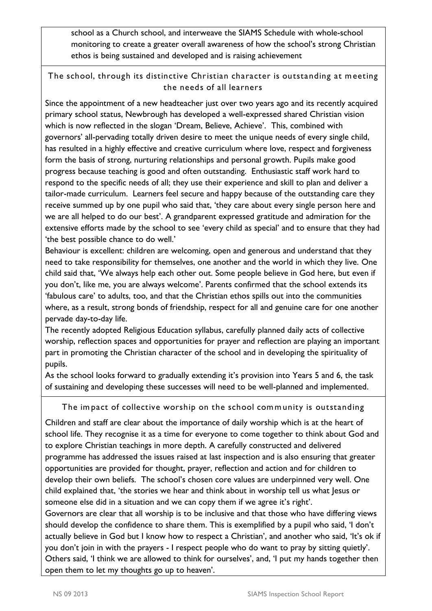school as a Church school, and interweave the SIAMS Schedule with whole-school monitoring to create a greater overall awareness of how the school's strong Christian ethos is being sustained and developed and is raising achievement

The school, through its distinctive Christian character is outstanding at m eeting the needs of all learners

Since the appointment of a new headteacher just over two years ago and its recently acquired primary school status, Newbrough has developed a well-expressed shared Christian vision which is now reflected in the slogan 'Dream, Believe, Achieve'. This, combined with governors' all-pervading totally driven desire to meet the unique needs of every single child, has resulted in a highly effective and creative curriculum where love, respect and forgiveness form the basis of strong, nurturing relationships and personal growth. Pupils make good progress because teaching is good and often outstanding. Enthusiastic staff work hard to respond to the specific needs of all; they use their experience and skill to plan and deliver a tailor-made curriculum. Learners feel secure and happy because of the outstanding care they receive summed up by one pupil who said that, 'they care about every single person here and we are all helped to do our best'. A grandparent expressed gratitude and admiration for the extensive efforts made by the school to see 'every child as special' and to ensure that they had 'the best possible chance to do well.'

Behaviour is excellent: children are welcoming, open and generous and understand that they need to take responsibility for themselves, one another and the world in which they live. One child said that, 'We always help each other out. Some people believe in God here, but even if you don't, like me, you are always welcome'. Parents confirmed that the school extends its 'fabulous care' to adults, too, and that the Christian ethos spills out into the communities where, as a result, strong bonds of friendship, respect for all and genuine care for one another pervade day-to-day life.

The recently adopted Religious Education syllabus, carefully planned daily acts of collective worship, reflection spaces and opportunities for prayer and reflection are playing an important part in promoting the Christian character of the school and in developing the spirituality of pupils.

As the school looks forward to gradually extending it's provision into Years 5 and 6, the task of sustaining and developing these successes will need to be well-planned and implemented.

#### The impact of collective worship on the school community is outstanding

Children and staff are clear about the importance of daily worship which is at the heart of school life. They recognise it as a time for everyone to come together to think about God and to explore Christian teachings in more depth. A carefully constructed and delivered programme has addressed the issues raised at last inspection and is also ensuring that greater opportunities are provided for thought, prayer, reflection and action and for children to develop their own beliefs. The school's chosen core values are underpinned very well. One child explained that, 'the stories we hear and think about in worship tell us what Jesus or someone else did in a situation and we can copy them if we agree it's right'.

Governors are clear that all worship is to be inclusive and that those who have differing views should develop the confidence to share them. This is exemplified by a pupil who said, 'I don't actually believe in God but I know how to respect a Christian', and another who said, 'It's ok if you don't join in with the prayers - I respect people who do want to pray by sitting quietly'. Others said, 'I think we are allowed to think for ourselves', and, 'I put my hands together then open them to let my thoughts go up to heaven'.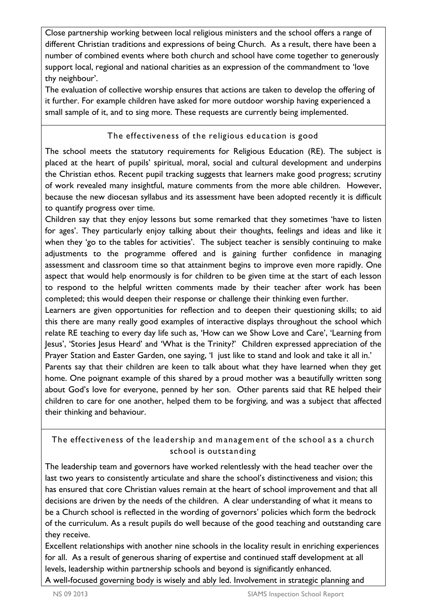Close partnership working between local religious ministers and the school offers a range of different Christian traditions and expressions of being Church. As a result, there have been a number of combined events where both church and school have come together to generously support local, regional and national charities as an expression of the commandment to 'love thy neighbour'.

The evaluation of collective worship ensures that actions are taken to develop the offering of it further. For example children have asked for more outdoor worship having experienced a small sample of it, and to sing more. These requests are currently being implemented.

### The effectiveness of the religious education is good

The school meets the statutory requirements for Religious Education (RE). The subject is placed at the heart of pupils' spiritual, moral, social and cultural development and underpins the Christian ethos. Recent pupil tracking suggests that learners make good progress; scrutiny of work revealed many insightful, mature comments from the more able children. However, because the new diocesan syllabus and its assessment have been adopted recently it is difficult to quantify progress over time.

Children say that they enjoy lessons but some remarked that they sometimes 'have to listen for ages'. They particularly enjoy talking about their thoughts, feelings and ideas and like it when they 'go to the tables for activities'. The subject teacher is sensibly continuing to make adjustments to the programme offered and is gaining further confidence in managing assessment and classroom time so that attainment begins to improve even more rapidly. One aspect that would help enormously is for children to be given time at the start of each lesson to respond to the helpful written comments made by their teacher after work has been completed; this would deepen their response or challenge their thinking even further.

Learners are given opportunities for reflection and to deepen their questioning skills; to aid this there are many really good examples of interactive displays throughout the school which relate RE teaching to every day life such as, 'How can we Show Love and Care', 'Learning from Jesus', 'Stories Jesus Heard' and 'What is the Trinity?' Children expressed appreciation of the Prayer Station and Easter Garden, one saying, 'I just like to stand and look and take it all in.'

Parents say that their children are keen to talk about what they have learned when they get home. One poignant example of this shared by a proud mother was a beautifully written song about God's love for everyone, penned by her son. Other parents said that RE helped their children to care for one another, helped them to be forgiving, and was a subject that affected their thinking and behaviour.

# The effectiveness of the leadership and management of the school as a church school is outstanding

The leadership team and governors have worked relentlessly with the head teacher over the last two years to consistently articulate and share the school's distinctiveness and vision; this has ensured that core Christian values remain at the heart of school improvement and that all decisions are driven by the needs of the children. A clear understanding of what it means to be a Church school is reflected in the wording of governors' policies which form the bedrock of the curriculum. As a result pupils do well because of the good teaching and outstanding care they receive.

Excellent relationships with another nine schools in the locality result in enriching experiences for all. As a result of generous sharing of expertise and continued staff development at all levels, leadership within partnership schools and beyond is significantly enhanced. A well-focused governing body is wisely and ably led. Involvement in strategic planning and